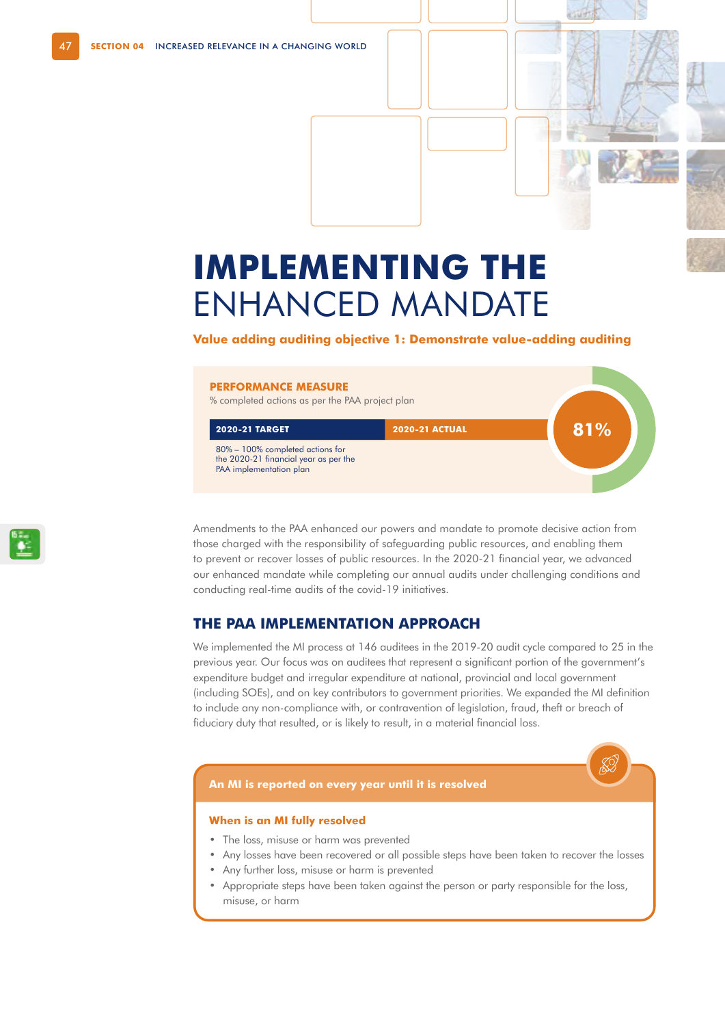# **IMPLEMENTING THE**  ENHANCED MANDATE

#### **Value adding auditing objective 1: Demonstrate value-adding auditing**

#### **PERFORMANCE MEASURE**

% completed actions as per the PAA project plan

| <b>2020-21 TARGET</b>                                                                                | <b>2020-21 ACTUAL</b> | 81% |  |
|------------------------------------------------------------------------------------------------------|-----------------------|-----|--|
| 80% – 100% completed actions for<br>the 2020-21 financial year as per the<br>PAA implementation plan |                       |     |  |

Amendments to the PAA enhanced our powers and mandate to promote decisive action from those charged with the responsibility of safeguarding public resources, and enabling them to prevent or recover losses of public resources. In the 2020-21 financial year, we advanced our enhanced mandate while completing our annual audits under challenging conditions and conducting real-time audits of the covid-19 initiatives.

#### **THE PAA IMPLEMENTATION APPROACH**

We implemented the MI process at 146 auditees in the 2019-20 audit cycle compared to 25 in the previous year. Our focus was on auditees that represent a significant portion of the government's expenditure budget and irregular expenditure at national, provincial and local government (including SOEs), and on key contributors to government priorities. We expanded the MI definition to include any non-compliance with, or contravention of legislation, fraud, theft or breach of fiduciary duty that resulted, or is likely to result, in a material financial loss.

#### **An MI is reported on every year until it is resolved**

#### **When is an MI fully resolved**

- The loss, misuse or harm was prevented
- Any losses have been recovered or all possible steps have been taken to recover the losses
- Any further loss, misuse or harm is prevented
- Appropriate steps have been taken against the person or party responsible for the loss, misuse, or harm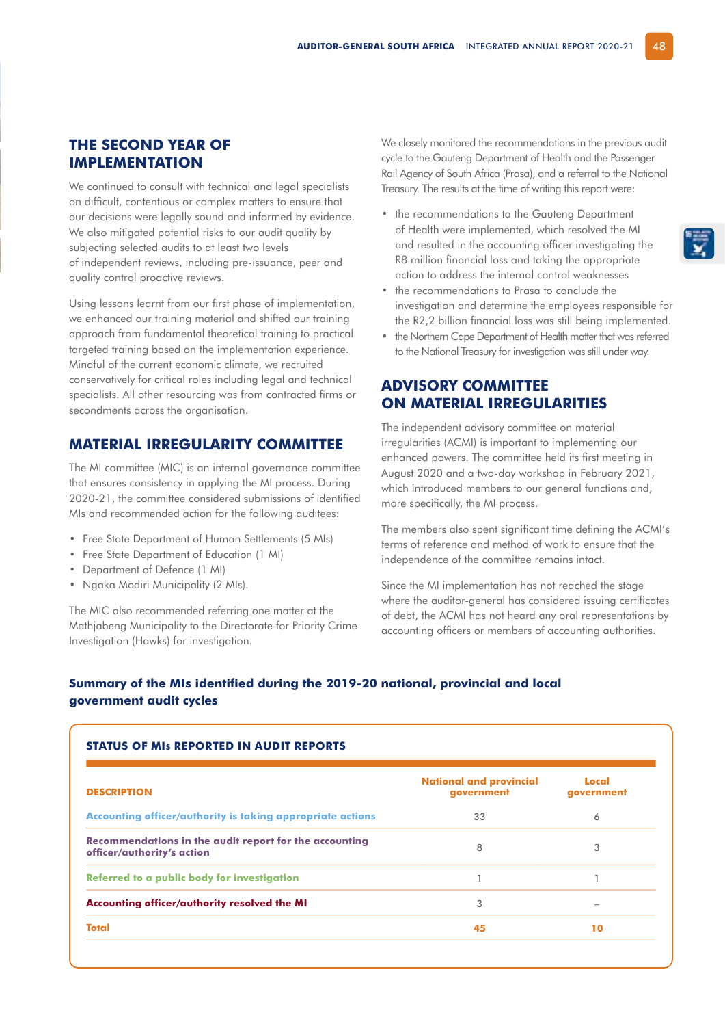## **THE SECOND YEAR OF IMPLEMENTATION**

We continued to consult with technical and legal specialists on difficult, contentious or complex matters to ensure that our decisions were legally sound and informed by evidence. We also mitigated potential risks to our audit quality by subjecting selected audits to at least two levels of independent reviews, including pre-issuance, peer and quality control proactive reviews.

Using lessons learnt from our first phase of implementation, we enhanced our training material and shifted our training approach from fundamental theoretical training to practical targeted training based on the implementation experience. Mindful of the current economic climate, we recruited conservatively for critical roles including legal and technical specialists. All other resourcing was from contracted firms or secondments across the organisation.

# **MATERIAL IRREGULARITY COMMITTEE**

The MI committee (MIC) is an internal governance committee that ensures consistency in applying the MI process. During 2020-21, the committee considered submissions of identified MIs and recommended action for the following auditees:

- Free State Department of Human Settlements (5 MIs)
- Free State Department of Education (1 MI)
- Department of Defence (1 MI)
- Ngaka Modiri Municipality (2 MIs).

The MIC also recommended referring one matter at the Mathjabeng Municipality to the Directorate for Priority Crime Investigation (Hawks) for investigation.

We closely monitored the recommendations in the previous audit cycle to the Gauteng Department of Health and the Passenger Rail Agency of South Africa (Prasa), and a referral to the National Treasury. The results at the time of writing this report were:

- the recommendations to the Gauteng Department of Health were implemented, which resolved the MI and resulted in the accounting officer investigating the R8 million financial loss and taking the appropriate action to address the internal control weaknesses
- the recommendations to Prasa to conclude the investigation and determine the employees responsible for the R2,2 billion financial loss was still being implemented.
- the Northern Cape Department of Health matter that was referred to the National Treasury for investigation was still under way.

## **ADVISORY COMMITTEE ON MATERIAL IRREGULARITIES**

The independent advisory committee on material irregularities (ACMI) is important to implementing our enhanced powers. The committee held its first meeting in August 2020 and a two-day workshop in February 2021, which introduced members to our general functions and, more specifically, the MI process.

The members also spent significant time defining the ACMI's terms of reference and method of work to ensure that the independence of the committee remains intact.

Since the MI implementation has not reached the stage where the auditor-general has considered issuing certificates of debt, the ACMI has not heard any oral representations by accounting officers or members of accounting authorities.

#### **Summary of the MIs identified during the 2019-20 national, provincial and local government audit cycles**

| <b>DESCRIPTION</b>                                                                   | <b>National and provincial</b><br>government | Local<br>qovernment |
|--------------------------------------------------------------------------------------|----------------------------------------------|---------------------|
| Accounting officer/authority is taking appropriate actions                           | 33                                           | 6                   |
| Recommendations in the audit report for the accounting<br>officer/authority's action | 8                                            | 3                   |
| Referred to a public body for investigation                                          |                                              |                     |
| Accounting officer/authority resolved the MI                                         | 3                                            |                     |
| <b>Total</b>                                                                         | 45                                           | 10                  |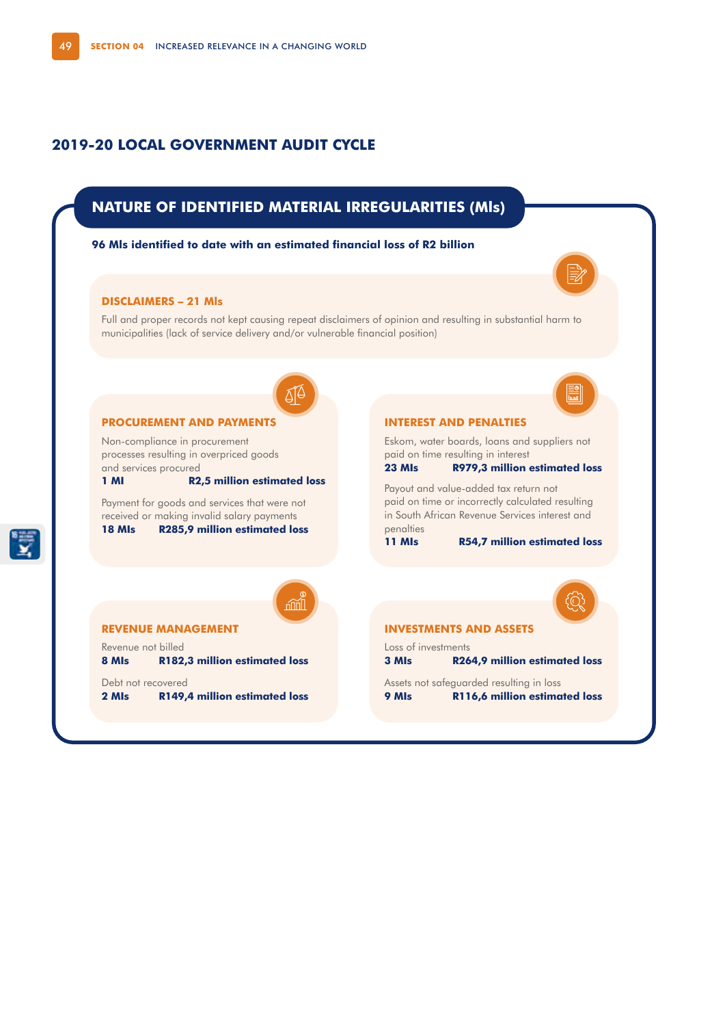## **2019-20 LOCAL GOVERNMENT AUDIT CYCLE**